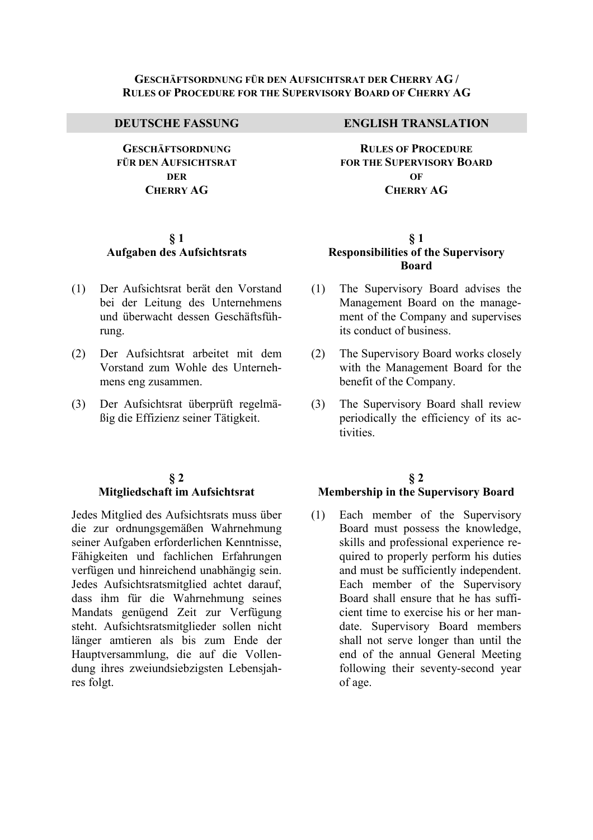#### **GESCHÄFTSORDNUNG FÜR DEN AUFSICHTSRAT DER CHERRY AG / RULES OF PROCEDURE FOR THE SUPERVISORY BOARD OF CHERRY AG**

**GESCHÄFTSORDNUNG FÜR DEN AUFSICHTSRAT DER CHERRY AG**

## **§ 1 Aufgaben des Aufsichtsrats**

- (1) Der Aufsichtsrat berät den Vorstand bei der Leitung des Unternehmens und überwacht dessen Geschäftsführung.
- (2) Der Aufsichtsrat arbeitet mit dem Vorstand zum Wohle des Unternehmens eng zusammen.
- (3) Der Aufsichtsrat überprüft regelmäßig die Effizienz seiner Tätigkeit.

## **§ 2 Mitgliedschaft im Aufsichtsrat**

Jedes Mitglied des Aufsichtsrats muss über die zur ordnungsgemäßen Wahrnehmung seiner Aufgaben erforderlichen Kenntnisse, Fähigkeiten und fachlichen Erfahrungen verfügen und hinreichend unabhängig sein. Jedes Aufsichtsratsmitglied achtet darauf, dass ihm für die Wahrnehmung seines Mandats genügend Zeit zur Verfügung steht. Aufsichtsratsmitglieder sollen nicht länger amtieren als bis zum Ende der Hauptversammlung, die auf die Vollendung ihres zweiundsiebzigsten Lebensjahres folgt.

#### **DEUTSCHE FASSUNG ENGLISH TRANSLATION**

**RULES OF PROCEDURE FOR THE SUPERVISORY BOARD OF CHERRY AG**

## **§ 1 Responsibilities of the Supervisory Board**

- (1) The Supervisory Board advises the Management Board on the management of the Company and supervises its conduct of business.
- (2) The Supervisory Board works closely with the Management Board for the benefit of the Company.
- (3) The Supervisory Board shall review periodically the efficiency of its activities.

# **§ 2 Membership in the Supervisory Board**

(1) Each member of the Supervisory Board must possess the knowledge, skills and professional experience required to properly perform his duties and must be sufficiently independent. Each member of the Supervisory Board shall ensure that he has sufficient time to exercise his or her mandate. Supervisory Board members shall not serve longer than until the end of the annual General Meeting following their seventy-second year of age.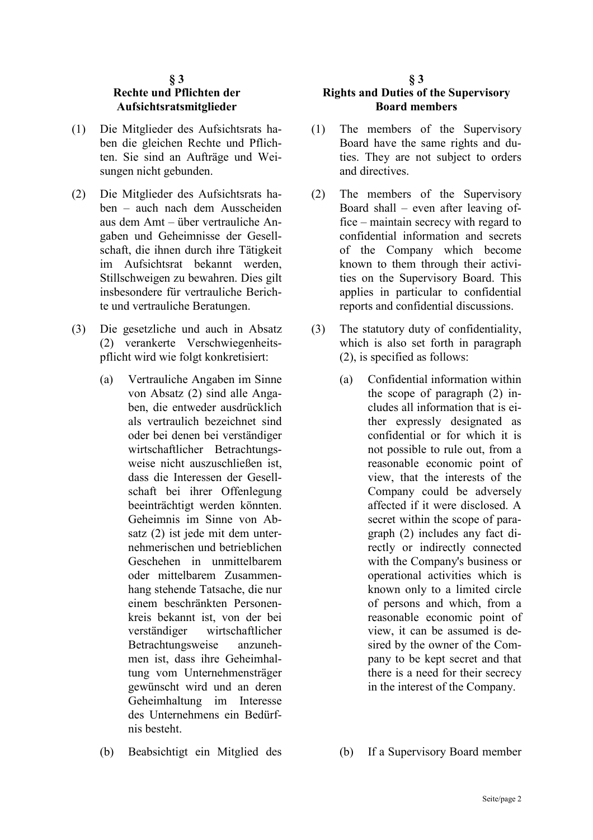#### **§ 3 Rechte und Pflichten der Aufsichtsratsmitglieder**

- (1) Die Mitglieder des Aufsichtsrats haben die gleichen Rechte und Pflichten. Sie sind an Aufträge und Weisungen nicht gebunden.
- (2) Die Mitglieder des Aufsichtsrats haben – auch nach dem Ausscheiden aus dem Amt – über vertrauliche Angaben und Geheimnisse der Gesellschaft, die ihnen durch ihre Tätigkeit im Aufsichtsrat bekannt werden, Stillschweigen zu bewahren. Dies gilt insbesondere für vertrauliche Berichte und vertrauliche Beratungen.
- (3) Die gesetzliche und auch in Absatz (2) verankerte Verschwiegenheitspflicht wird wie folgt konkretisiert:
	- (a) Vertrauliche Angaben im Sinne von Absatz (2) sind alle Angaben, die entweder ausdrücklich als vertraulich bezeichnet sind oder bei denen bei verständiger wirtschaftlicher Betrachtungsweise nicht auszuschließen ist, dass die Interessen der Gesellschaft bei ihrer Offenlegung beeinträchtigt werden könnten. Geheimnis im Sinne von Absatz (2) ist jede mit dem unternehmerischen und betrieblichen Geschehen in unmittelbarem oder mittelbarem Zusammenhang stehende Tatsache, die nur einem beschränkten Personenkreis bekannt ist, von der bei verständiger wirtschaftlicher Betrachtungsweise anzunehmen ist, dass ihre Geheimhaltung vom Unternehmensträger gewünscht wird und an deren Geheimhaltung im Interesse des Unternehmens ein Bedürfnis besteht.
	-

#### **§ 3 Rights and Duties of the Supervisory Board members**

- (1) The members of the Supervisory Board have the same rights and duties. They are not subject to orders and directives.
- (2) The members of the Supervisory Board shall – even after leaving office – maintain secrecy with regard to confidential information and secrets of the Company which become known to them through their activities on the Supervisory Board. This applies in particular to confidential reports and confidential discussions.
- (3) The statutory duty of confidentiality, which is also set forth in paragraph (2), is specified as follows:
	- (a) Confidential information within the scope of paragraph (2) includes all information that is either expressly designated as confidential or for which it is not possible to rule out, from a reasonable economic point of view, that the interests of the Company could be adversely affected if it were disclosed. A secret within the scope of paragraph (2) includes any fact directly or indirectly connected with the Company's business or operational activities which is known only to a limited circle of persons and which, from a reasonable economic point of view, it can be assumed is desired by the owner of the Company to be kept secret and that there is a need for their secrecy in the interest of the Company.
- (b) Beabsichtigt ein Mitglied des (b) If a Supervisory Board member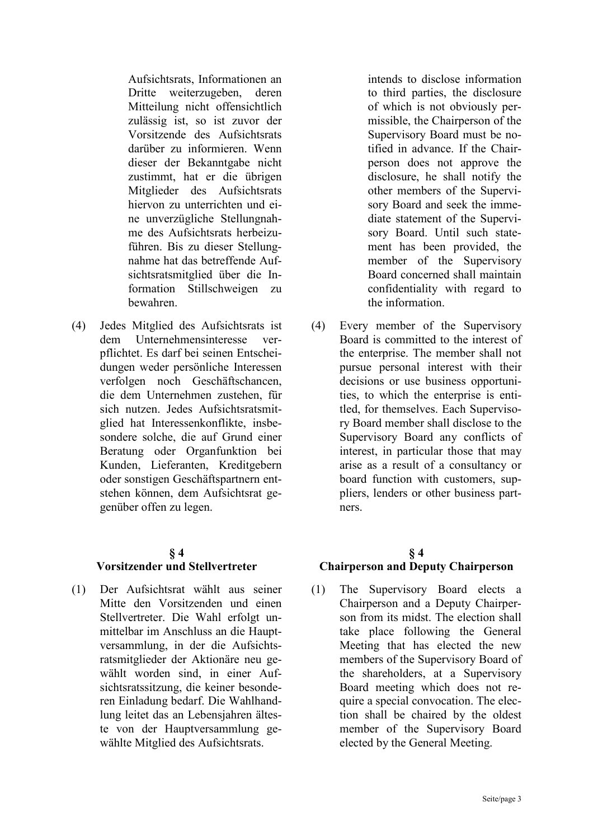Aufsichtsrats, Informationen an Dritte weiterzugeben, deren Mitteilung nicht offensichtlich zulässig ist, so ist zuvor der Vorsitzende des Aufsichtsrats darüber zu informieren. Wenn dieser der Bekanntgabe nicht zustimmt, hat er die übrigen Mitglieder des Aufsichtsrats hiervon zu unterrichten und eine unverzügliche Stellungnahme des Aufsichtsrats herbeizuführen. Bis zu dieser Stellungnahme hat das betreffende Aufsichtsratsmitglied über die Information Stillschweigen zu bewahren.

(4) Jedes Mitglied des Aufsichtsrats ist dem Unternehmensinteresse verpflichtet. Es darf bei seinen Entscheidungen weder persönliche Interessen verfolgen noch Geschäftschancen, die dem Unternehmen zustehen, für sich nutzen. Jedes Aufsichtsratsmitglied hat Interessenkonflikte, insbesondere solche, die auf Grund einer Beratung oder Organfunktion bei Kunden, Lieferanten, Kreditgebern oder sonstigen Geschäftspartnern entstehen können, dem Aufsichtsrat gegenüber offen zu legen.

# **§ 4**

#### **Vorsitzender und Stellvertreter**

(1) Der Aufsichtsrat wählt aus seiner Mitte den Vorsitzenden und einen Stellvertreter. Die Wahl erfolgt unmittelbar im Anschluss an die Hauptversammlung, in der die Aufsichtsratsmitglieder der Aktionäre neu gewählt worden sind, in einer Aufsichtsratssitzung, die keiner besonderen Einladung bedarf. Die Wahlhandlung leitet das an Lebensjahren älteste von der Hauptversammlung gewählte Mitglied des Aufsichtsrats.

intends to disclose information to third parties, the disclosure of which is not obviously permissible, the Chairperson of the Supervisory Board must be notified in advance. If the Chairperson does not approve the disclosure, he shall notify the other members of the Supervisory Board and seek the immediate statement of the Supervisory Board. Until such statement has been provided, the member of the Supervisory Board concerned shall maintain confidentiality with regard to the information.

(4) Every member of the Supervisory Board is committed to the interest of the enterprise. The member shall not pursue personal interest with their decisions or use business opportunities, to which the enterprise is entitled, for themselves. Each Supervisory Board member shall disclose to the Supervisory Board any conflicts of interest, in particular those that may arise as a result of a consultancy or board function with customers, suppliers, lenders or other business partners.

# **§ 4 Chairperson and Deputy Chairperson**

(1) The Supervisory Board elects a Chairperson and a Deputy Chairperson from its midst. The election shall take place following the General Meeting that has elected the new members of the Supervisory Board of the shareholders, at a Supervisory Board meeting which does not require a special convocation. The election shall be chaired by the oldest member of the Supervisory Board elected by the General Meeting.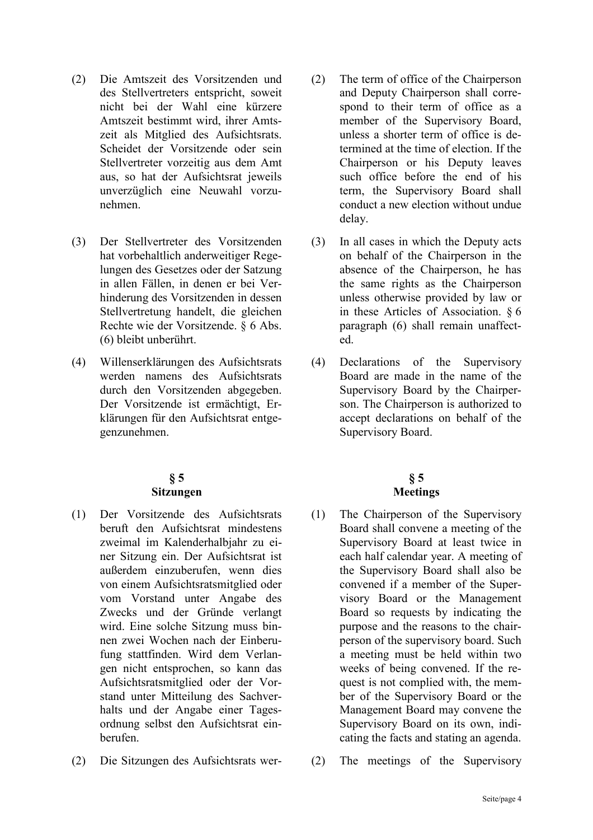- (2) Die Amtszeit des Vorsitzenden und des Stellvertreters entspricht, soweit nicht bei der Wahl eine kürzere Amtszeit bestimmt wird, ihrer Amtszeit als Mitglied des Aufsichtsrats. Scheidet der Vorsitzende oder sein Stellvertreter vorzeitig aus dem Amt aus, so hat der Aufsichtsrat jeweils unverzüglich eine Neuwahl vorzunehmen.
- (3) Der Stellvertreter des Vorsitzenden hat vorbehaltlich anderweitiger Regelungen des Gesetzes oder der Satzung in allen Fällen, in denen er bei Verhinderung des Vorsitzenden in dessen Stellvertretung handelt, die gleichen Rechte wie der Vorsitzende. § 6 Abs. (6) bleibt unberührt.
- (4) Willenserklärungen des Aufsichtsrats werden namens des Aufsichtsrats durch den Vorsitzenden abgegeben. Der Vorsitzende ist ermächtigt, Erklärungen für den Aufsichtsrat entgegenzunehmen.

#### **§ 5 Sitzungen**

- (1) Der Vorsitzende des Aufsichtsrats beruft den Aufsichtsrat mindestens zweimal im Kalenderhalbjahr zu einer Sitzung ein. Der Aufsichtsrat ist außerdem einzuberufen, wenn dies von einem Aufsichtsratsmitglied oder vom Vorstand unter Angabe des Zwecks und der Gründe verlangt wird. Eine solche Sitzung muss binnen zwei Wochen nach der Einberufung stattfinden. Wird dem Verlangen nicht entsprochen, so kann das Aufsichtsratsmitglied oder der Vorstand unter Mitteilung des Sachverhalts und der Angabe einer Tagesordnung selbst den Aufsichtsrat einberufen.
- (2) Die Sitzungen des Aufsichtsrats wer- (2) The meetings of the Supervisory
- (2) The term of office of the Chairperson and Deputy Chairperson shall correspond to their term of office as a member of the Supervisory Board, unless a shorter term of office is determined at the time of election. If the Chairperson or his Deputy leaves such office before the end of his term, the Supervisory Board shall conduct a new election without undue delay.
- (3) In all cases in which the Deputy acts on behalf of the Chairperson in the absence of the Chairperson, he has the same rights as the Chairperson unless otherwise provided by law or in these Articles of Association. § 6 paragraph (6) shall remain unaffected.
- (4) Declarations of the Supervisory Board are made in the name of the Supervisory Board by the Chairperson. The Chairperson is authorized to accept declarations on behalf of the Supervisory Board.

# **§ 5 Meetings**

- (1) The Chairperson of the Supervisory Board shall convene a meeting of the Supervisory Board at least twice in each half calendar year. A meeting of the Supervisory Board shall also be convened if a member of the Supervisory Board or the Management Board so requests by indicating the purpose and the reasons to the chairperson of the supervisory board. Such a meeting must be held within two weeks of being convened. If the request is not complied with, the member of the Supervisory Board or the Management Board may convene the Supervisory Board on its own, indicating the facts and stating an agenda.
-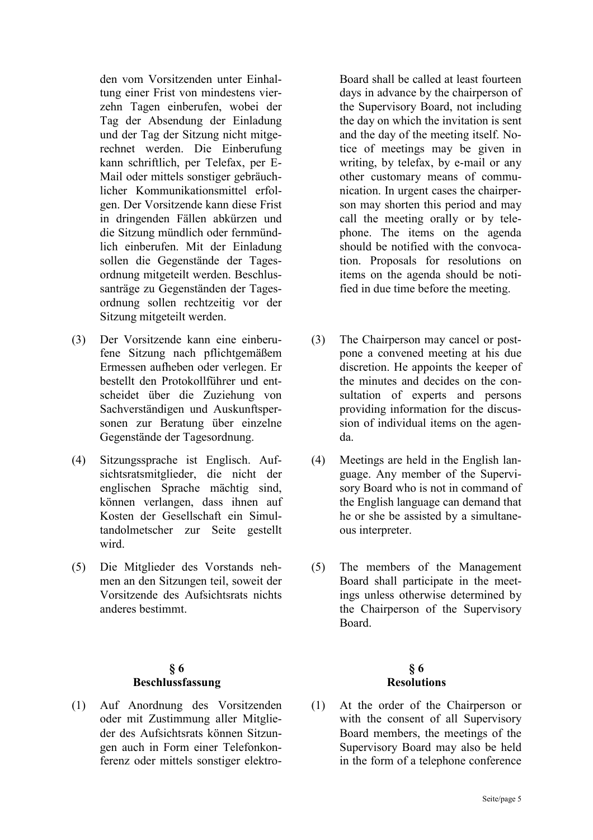den vom Vorsitzenden unter Einhaltung einer Frist von mindestens vierzehn Tagen einberufen, wobei der Tag der Absendung der Einladung und der Tag der Sitzung nicht mitgerechnet werden. Die Einberufung kann schriftlich, per Telefax, per E-Mail oder mittels sonstiger gebräuchlicher Kommunikationsmittel erfolgen. Der Vorsitzende kann diese Frist in dringenden Fällen abkürzen und die Sitzung mündlich oder fernmündlich einberufen. Mit der Einladung sollen die Gegenstände der Tagesordnung mitgeteilt werden. Beschlussanträge zu Gegenständen der Tagesordnung sollen rechtzeitig vor der Sitzung mitgeteilt werden.

- (3) Der Vorsitzende kann eine einberufene Sitzung nach pflichtgemäßem Ermessen aufheben oder verlegen. Er bestellt den Protokollführer und entscheidet über die Zuziehung von Sachverständigen und Auskunftspersonen zur Beratung über einzelne Gegenstände der Tagesordnung.
- (4) Sitzungssprache ist Englisch. Aufsichtsratsmitglieder, die nicht der englischen Sprache mächtig sind, können verlangen, dass ihnen auf Kosten der Gesellschaft ein Simultandolmetscher zur Seite gestellt wird.
- (5) Die Mitglieder des Vorstands nehmen an den Sitzungen teil, soweit der Vorsitzende des Aufsichtsrats nichts anderes bestimmt.

# **§ 6 Beschlussfassung**

(1) Auf Anordnung des Vorsitzenden oder mit Zustimmung aller Mitglieder des Aufsichtsrats können Sitzungen auch in Form einer Telefonkonferenz oder mittels sonstiger elektro-

Board shall be called at least fourteen days in advance by the chairperson of the Supervisory Board, not including the day on which the invitation is sent and the day of the meeting itself. Notice of meetings may be given in writing, by telefax, by e-mail or any other customary means of communication. In urgent cases the chairperson may shorten this period and may call the meeting orally or by telephone. The items on the agenda should be notified with the convocation. Proposals for resolutions on items on the agenda should be notified in due time before the meeting.

- (3) The Chairperson may cancel or postpone a convened meeting at his due discretion. He appoints the keeper of the minutes and decides on the consultation of experts and persons providing information for the discussion of individual items on the agenda.
- (4) Meetings are held in the English language. Any member of the Supervisory Board who is not in command of the English language can demand that he or she be assisted by a simultaneous interpreter.
- (5) The members of the Management Board shall participate in the meetings unless otherwise determined by the Chairperson of the Supervisory Board.

# **§ 6 Resolutions**

(1) At the order of the Chairperson or with the consent of all Supervisory Board members, the meetings of the Supervisory Board may also be held in the form of a telephone conference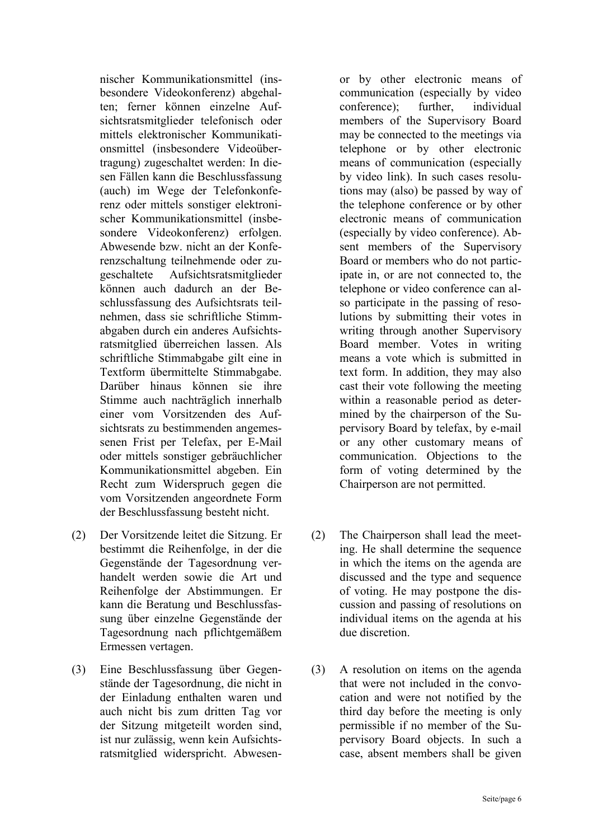nischer Kommunikationsmittel (insbesondere Videokonferenz) abgehalten; ferner können einzelne Aufsichtsratsmitglieder telefonisch oder mittels elektronischer Kommunikationsmittel (insbesondere Videoübertragung) zugeschaltet werden: In diesen Fällen kann die Beschlussfassung (auch) im Wege der Telefonkonferenz oder mittels sonstiger elektronischer Kommunikationsmittel (insbesondere Videokonferenz) erfolgen. Abwesende bzw. nicht an der Konferenzschaltung teilnehmende oder zugeschaltete Aufsichtsratsmitglieder können auch dadurch an der Beschlussfassung des Aufsichtsrats teilnehmen, dass sie schriftliche Stimmabgaben durch ein anderes Aufsichtsratsmitglied überreichen lassen. Als schriftliche Stimmabgabe gilt eine in Textform übermittelte Stimmabgabe. Darüber hinaus können sie ihre Stimme auch nachträglich innerhalb einer vom Vorsitzenden des Aufsichtsrats zu bestimmenden angemessenen Frist per Telefax, per E-Mail oder mittels sonstiger gebräuchlicher Kommunikationsmittel abgeben. Ein Recht zum Widerspruch gegen die vom Vorsitzenden angeordnete Form der Beschlussfassung besteht nicht.

- (2) Der Vorsitzende leitet die Sitzung. Er bestimmt die Reihenfolge, in der die Gegenstände der Tagesordnung verhandelt werden sowie die Art und Reihenfolge der Abstimmungen. Er kann die Beratung und Beschlussfassung über einzelne Gegenstände der Tagesordnung nach pflichtgemäßem Ermessen vertagen.
- (3) Eine Beschlussfassung über Gegenstände der Tagesordnung, die nicht in der Einladung enthalten waren und auch nicht bis zum dritten Tag vor der Sitzung mitgeteilt worden sind, ist nur zulässig, wenn kein Aufsichtsratsmitglied widerspricht. Abwesen-

or by other electronic means of communication (especially by video conference); further, individual members of the Supervisory Board may be connected to the meetings via telephone or by other electronic means of communication (especially by video link). In such cases resolutions may (also) be passed by way of the telephone conference or by other electronic means of communication (especially by video conference). Absent members of the Supervisory Board or members who do not participate in, or are not connected to, the telephone or video conference can also participate in the passing of resolutions by submitting their votes in writing through another Supervisory Board member. Votes in writing means a vote which is submitted in text form. In addition, they may also cast their vote following the meeting within a reasonable period as determined by the chairperson of the Supervisory Board by telefax, by e-mail or any other customary means of communication. Objections to the form of voting determined by the Chairperson are not permitted.

- (2) The Chairperson shall lead the meeting. He shall determine the sequence in which the items on the agenda are discussed and the type and sequence of voting. He may postpone the discussion and passing of resolutions on individual items on the agenda at his due discretion.
- (3) A resolution on items on the agenda that were not included in the convocation and were not notified by the third day before the meeting is only permissible if no member of the Supervisory Board objects. In such a case, absent members shall be given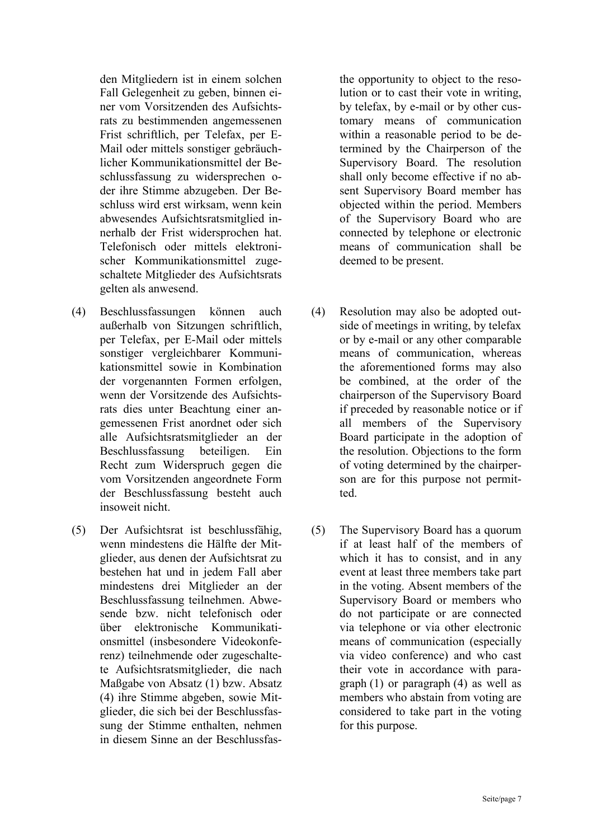den Mitgliedern ist in einem solchen Fall Gelegenheit zu geben, binnen einer vom Vorsitzenden des Aufsichtsrats zu bestimmenden angemessenen Frist schriftlich, per Telefax, per E-Mail oder mittels sonstiger gebräuchlicher Kommunikationsmittel der Beschlussfassung zu widersprechen oder ihre Stimme abzugeben. Der Beschluss wird erst wirksam, wenn kein abwesendes Aufsichtsratsmitglied innerhalb der Frist widersprochen hat. Telefonisch oder mittels elektronischer Kommunikationsmittel zugeschaltete Mitglieder des Aufsichtsrats gelten als anwesend.

- (4) Beschlussfassungen können auch außerhalb von Sitzungen schriftlich, per Telefax, per E-Mail oder mittels sonstiger vergleichbarer Kommunikationsmittel sowie in Kombination der vorgenannten Formen erfolgen, wenn der Vorsitzende des Aufsichtsrats dies unter Beachtung einer angemessenen Frist anordnet oder sich alle Aufsichtsratsmitglieder an der Beschlussfassung beteiligen. Ein Recht zum Widerspruch gegen die vom Vorsitzenden angeordnete Form der Beschlussfassung besteht auch insoweit nicht.
- (5) Der Aufsichtsrat ist beschlussfähig, wenn mindestens die Hälfte der Mitglieder, aus denen der Aufsichtsrat zu bestehen hat und in jedem Fall aber mindestens drei Mitglieder an der Beschlussfassung teilnehmen. Abwesende bzw. nicht telefonisch oder über elektronische Kommunikationsmittel (insbesondere Videokonferenz) teilnehmende oder zugeschaltete Aufsichtsratsmitglieder, die nach Maßgabe von Absatz (1) bzw. Absatz (4) ihre Stimme abgeben, sowie Mitglieder, die sich bei der Beschlussfassung der Stimme enthalten, nehmen in diesem Sinne an der Beschlussfas-

the opportunity to object to the resolution or to cast their vote in writing, by telefax, by e-mail or by other customary means of communication within a reasonable period to be determined by the Chairperson of the Supervisory Board. The resolution shall only become effective if no absent Supervisory Board member has objected within the period. Members of the Supervisory Board who are connected by telephone or electronic means of communication shall be deemed to be present.

- (4) Resolution may also be adopted outside of meetings in writing, by telefax or by e-mail or any other comparable means of communication, whereas the aforementioned forms may also be combined, at the order of the chairperson of the Supervisory Board if preceded by reasonable notice or if all members of the Supervisory Board participate in the adoption of the resolution. Objections to the form of voting determined by the chairperson are for this purpose not permitted.
- (5) The Supervisory Board has a quorum if at least half of the members of which it has to consist, and in any event at least three members take part in the voting. Absent members of the Supervisory Board or members who do not participate or are connected via telephone or via other electronic means of communication (especially via video conference) and who cast their vote in accordance with paragraph (1) or paragraph (4) as well as members who abstain from voting are considered to take part in the voting for this purpose.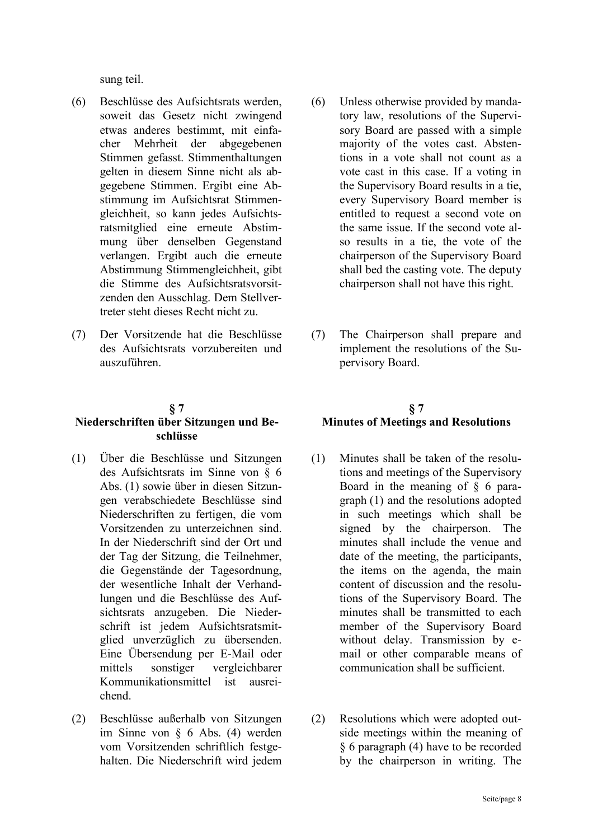sung teil.

- (6) Beschlüsse des Aufsichtsrats werden, soweit das Gesetz nicht zwingend etwas anderes bestimmt, mit einfacher Mehrheit der abgegebenen Stimmen gefasst. Stimmenthaltungen gelten in diesem Sinne nicht als abgegebene Stimmen. Ergibt eine Abstimmung im Aufsichtsrat Stimmengleichheit, so kann jedes Aufsichtsratsmitglied eine erneute Abstimmung über denselben Gegenstand verlangen. Ergibt auch die erneute Abstimmung Stimmengleichheit, gibt die Stimme des Aufsichtsratsvorsitzenden den Ausschlag. Dem Stellvertreter steht dieses Recht nicht zu.
- (7) Der Vorsitzende hat die Beschlüsse des Aufsichtsrats vorzubereiten und auszuführen.

#### **§ 7**

### **Niederschriften über Sitzungen und Beschlüsse**

- (1) Über die Beschlüsse und Sitzungen des Aufsichtsrats im Sinne von § 6 Abs. (1) sowie über in diesen Sitzungen verabschiedete Beschlüsse sind Niederschriften zu fertigen, die vom Vorsitzenden zu unterzeichnen sind. In der Niederschrift sind der Ort und der Tag der Sitzung, die Teilnehmer, die Gegenstände der Tagesordnung, der wesentliche Inhalt der Verhandlungen und die Beschlüsse des Aufsichtsrats anzugeben. Die Niederschrift ist jedem Aufsichtsratsmitglied unverzüglich zu übersenden. Eine Übersendung per E-Mail oder mittels sonstiger vergleichbarer Kommunikationsmittel ist ausreichend.
- (2) Beschlüsse außerhalb von Sitzungen im Sinne von § 6 Abs. (4) werden vom Vorsitzenden schriftlich festgehalten. Die Niederschrift wird jedem
- (6) Unless otherwise provided by mandatory law, resolutions of the Supervisory Board are passed with a simple majority of the votes cast. Abstentions in a vote shall not count as a vote cast in this case. If a voting in the Supervisory Board results in a tie, every Supervisory Board member is entitled to request a second vote on the same issue. If the second vote also results in a tie, the vote of the chairperson of the Supervisory Board shall bed the casting vote. The deputy chairperson shall not have this right.
- (7) The Chairperson shall prepare and implement the resolutions of the Supervisory Board.

# **§ 7 Minutes of Meetings and Resolutions**

- (1) Minutes shall be taken of the resolutions and meetings of the Supervisory Board in the meaning of  $\S$  6 paragraph (1) and the resolutions adopted in such meetings which shall be signed by the chairperson. The minutes shall include the venue and date of the meeting, the participants, the items on the agenda, the main content of discussion and the resolutions of the Supervisory Board. The minutes shall be transmitted to each member of the Supervisory Board without delay. Transmission by email or other comparable means of communication shall be sufficient.
- (2) Resolutions which were adopted outside meetings within the meaning of § 6 paragraph (4) have to be recorded by the chairperson in writing. The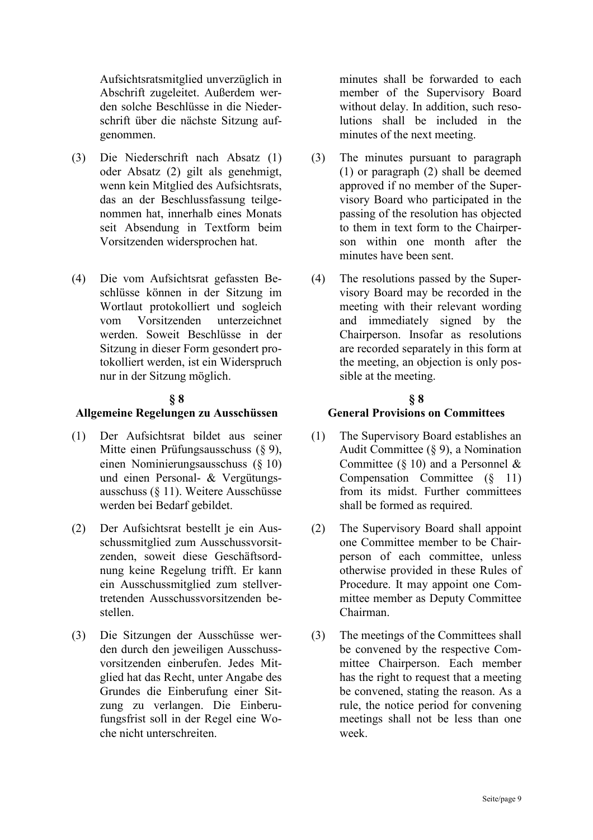Aufsichtsratsmitglied unverzüglich in Abschrift zugeleitet. Außerdem werden solche Beschlüsse in die Niederschrift über die nächste Sitzung aufgenommen.

- (3) Die Niederschrift nach Absatz (1) oder Absatz (2) gilt als genehmigt, wenn kein Mitglied des Aufsichtsrats, das an der Beschlussfassung teilgenommen hat, innerhalb eines Monats seit Absendung in Textform beim Vorsitzenden widersprochen hat.
- (4) Die vom Aufsichtsrat gefassten Beschlüsse können in der Sitzung im Wortlaut protokolliert und sogleich vom Vorsitzenden unterzeichnet werden. Soweit Beschlüsse in der Sitzung in dieser Form gesondert protokolliert werden, ist ein Widerspruch nur in der Sitzung möglich.

### **§ 8**

#### **Allgemeine Regelungen zu Ausschüssen**

- (1) Der Aufsichtsrat bildet aus seiner Mitte einen Prüfungsausschuss (§ 9), einen Nominierungsausschuss (§ 10) und einen Personal- & Vergütungsausschuss (§ 11). Weitere Ausschüsse werden bei Bedarf gebildet.
- (2) Der Aufsichtsrat bestellt je ein Ausschussmitglied zum Ausschussvorsitzenden, soweit diese Geschäftsordnung keine Regelung trifft. Er kann ein Ausschussmitglied zum stellvertretenden Ausschussvorsitzenden bestellen.
- (3) Die Sitzungen der Ausschüsse werden durch den jeweiligen Ausschussvorsitzenden einberufen. Jedes Mitglied hat das Recht, unter Angabe des Grundes die Einberufung einer Sitzung zu verlangen. Die Einberufungsfrist soll in der Regel eine Woche nicht unterschreiten.

minutes shall be forwarded to each member of the Supervisory Board without delay. In addition, such resolutions shall be included in the minutes of the next meeting.

- (3) The minutes pursuant to paragraph (1) or paragraph (2) shall be deemed approved if no member of the Supervisory Board who participated in the passing of the resolution has objected to them in text form to the Chairperson within one month after the minutes have been sent.
- (4) The resolutions passed by the Supervisory Board may be recorded in the meeting with their relevant wording and immediately signed by the Chairperson. Insofar as resolutions are recorded separately in this form at the meeting, an objection is only possible at the meeting.

# **§ 8**

#### **General Provisions on Committees**

- (1) The Supervisory Board establishes an Audit Committee (§ 9), a Nomination Committee (§ 10) and a Personnel  $\&$ Compensation Committee  $(\S 11)$ from its midst. Further committees shall be formed as required.
- (2) The Supervisory Board shall appoint one Committee member to be Chairperson of each committee, unless otherwise provided in these Rules of Procedure. It may appoint one Committee member as Deputy Committee Chairman.
- (3) The meetings of the Committees shall be convened by the respective Committee Chairperson. Each member has the right to request that a meeting be convened, stating the reason. As a rule, the notice period for convening meetings shall not be less than one week.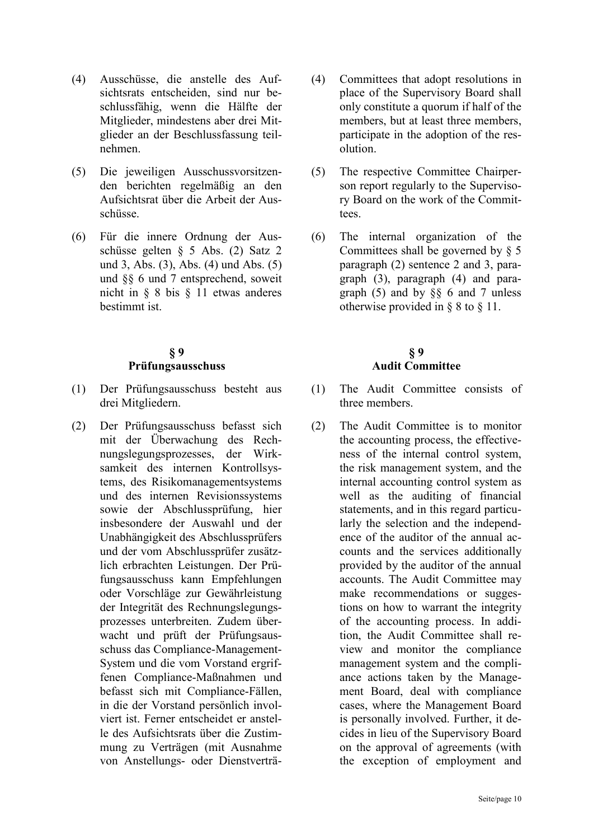- (4) Ausschüsse, die anstelle des Aufsichtsrats entscheiden, sind nur beschlussfähig, wenn die Hälfte der Mitglieder, mindestens aber drei Mitglieder an der Beschlussfassung teilnehmen.
- (5) Die jeweiligen Ausschussvorsitzenden berichten regelmäßig an den Aufsichtsrat über die Arbeit der Ausschüsse.
- (6) Für die innere Ordnung der Ausschüsse gelten § 5 Abs. (2) Satz 2 und 3, Abs. (3), Abs. (4) und Abs. (5) und §§ 6 und 7 entsprechend, soweit nicht in § 8 bis § 11 etwas anderes bestimmt ist.

# **§ 9 Prüfungsausschuss**

- (1) Der Prüfungsausschuss besteht aus drei Mitgliedern.
- (2) Der Prüfungsausschuss befasst sich mit der Überwachung des Rechnungslegungsprozesses, der Wirksamkeit des internen Kontrollsystems, des Risikomanagementsystems und des internen Revisionssystems sowie der Abschlussprüfung, hier insbesondere der Auswahl und der Unabhängigkeit des Abschlussprüfers und der vom Abschlussprüfer zusätzlich erbrachten Leistungen. Der Prüfungsausschuss kann Empfehlungen oder Vorschläge zur Gewährleistung der Integrität des Rechnungslegungsprozesses unterbreiten. Zudem überwacht und prüft der Prüfungsausschuss das Compliance-Management-System und die vom Vorstand ergriffenen Compliance-Maßnahmen und befasst sich mit Compliance-Fällen, in die der Vorstand persönlich involviert ist. Ferner entscheidet er anstelle des Aufsichtsrats über die Zustimmung zu Verträgen (mit Ausnahme von Anstellungs- oder Dienstverträ-
- (4) Committees that adopt resolutions in place of the Supervisory Board shall only constitute a quorum if half of the members, but at least three members, participate in the adoption of the resolution.
- (5) The respective Committee Chairperson report regularly to the Supervisory Board on the work of the Committees.
- (6) The internal organization of the Committees shall be governed by  $\S$  5 paragraph (2) sentence 2 and 3, paragraph (3), paragraph (4) and paragraph (5) and by  $\S$  6 and 7 unless otherwise provided in § 8 to § 11.

# **§ 9 Audit Committee**

- (1) The Audit Committee consists of three members.
- (2) The Audit Committee is to monitor the accounting process, the effectiveness of the internal control system, the risk management system, and the internal accounting control system as well as the auditing of financial statements, and in this regard particularly the selection and the independence of the auditor of the annual accounts and the services additionally provided by the auditor of the annual accounts. The Audit Committee may make recommendations or suggestions on how to warrant the integrity of the accounting process. In addition, the Audit Committee shall review and monitor the compliance management system and the compliance actions taken by the Management Board, deal with compliance cases, where the Management Board is personally involved. Further, it decides in lieu of the Supervisory Board on the approval of agreements (with the exception of employment and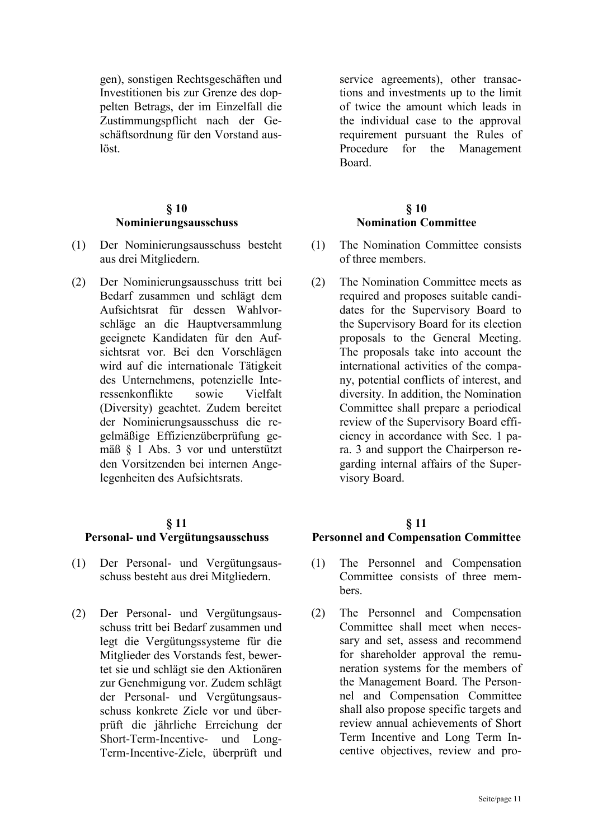gen), sonstigen Rechtsgeschäften und Investitionen bis zur Grenze des doppelten Betrags, der im Einzelfall die Zustimmungspflicht nach der Geschäftsordnung für den Vorstand auslöst.

# **§ 10 Nominierungsausschuss**

- (1) Der Nominierungsausschuss besteht aus drei Mitgliedern.
- (2) Der Nominierungsausschuss tritt bei Bedarf zusammen und schlägt dem Aufsichtsrat für dessen Wahlvorschläge an die Hauptversammlung geeignete Kandidaten für den Aufsichtsrat vor. Bei den Vorschlägen wird auf die internationale Tätigkeit des Unternehmens, potenzielle Interessenkonflikte sowie Vielfalt (Diversity) geachtet. Zudem bereitet der Nominierungsausschuss die regelmäßige Effizienzüberprüfung gemäß § 1 Abs. 3 vor und unterstützt den Vorsitzenden bei internen Angelegenheiten des Aufsichtsrats.

#### **§ 11**

#### **Personal- und Vergütungsausschuss**

- (1) Der Personal- und Vergütungsausschuss besteht aus drei Mitgliedern.
- (2) Der Personal- und Vergütungsausschuss tritt bei Bedarf zusammen und legt die Vergütungssysteme für die Mitglieder des Vorstands fest, bewertet sie und schlägt sie den Aktionären zur Genehmigung vor. Zudem schlägt der Personal- und Vergütungsausschuss konkrete Ziele vor und überprüft die jährliche Erreichung der Short-Term-Incentive- und Long-Term-Incentive-Ziele, überprüft und

service agreements), other transactions and investments up to the limit of twice the amount which leads in the individual case to the approval requirement pursuant the Rules of Procedure for the Management Board.

# **§ 10 Nomination Committee**

- (1) The Nomination Committee consists of three members.
- (2) The Nomination Committee meets as required and proposes suitable candidates for the Supervisory Board to the Supervisory Board for its election proposals to the General Meeting. The proposals take into account the international activities of the company, potential conflicts of interest, and diversity. In addition, the Nomination Committee shall prepare a periodical review of the Supervisory Board efficiency in accordance with Sec. 1 para. 3 and support the Chairperson regarding internal affairs of the Supervisory Board.

#### **§ 11**

#### **Personnel and Compensation Committee**

- (1) The Personnel and Compensation Committee consists of three members.
- (2) The Personnel and Compensation Committee shall meet when necessary and set, assess and recommend for shareholder approval the remuneration systems for the members of the Management Board. The Personnel and Compensation Committee shall also propose specific targets and review annual achievements of Short Term Incentive and Long Term Incentive objectives, review and pro-